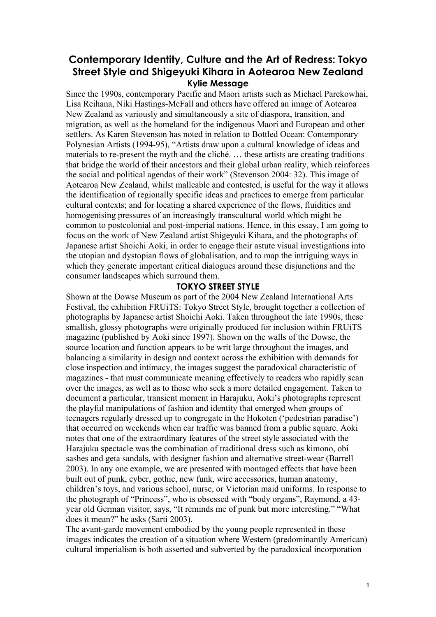# **Contemporary Identity, Culture and the Art of Redress: Tokyo Street Style and Shigeyuki Kihara in Aotearoa New Zealand Kylie Message**

Since the 1990s, contemporary Pacific and Maori artists such as Michael Parekowhai, Lisa Reihana, Niki Hastings-McFall and others have offered an image of Aotearoa New Zealand as variously and simultaneously a site of diaspora, transition, and migration, as well as the homeland for the indigenous Maori and European and other settlers. As Karen Stevenson has noted in relation to Bottled Ocean: Contemporary Polynesian Artists (1994-95), "Artists draw upon a cultural knowledge of ideas and materials to re-present the myth and the cliché. … these artists are creating traditions that bridge the world of their ancestors and their global urban reality, which reinforces the social and political agendas of their work" (Stevenson 2004: 32). This image of Aotearoa New Zealand, whilst malleable and contested, is useful for the way it allows the identification of regionally specific ideas and practices to emerge from particular cultural contexts; and for locating a shared experience of the flows, fluidities and homogenising pressures of an increasingly transcultural world which might be common to postcolonial and post-imperial nations. Hence, in this essay, I am going to focus on the work of New Zealand artist Shigeyuki Kihara, and the photographs of Japanese artist Shoichi Aoki, in order to engage their astute visual investigations into the utopian and dystopian flows of globalisation, and to map the intriguing ways in which they generate important critical dialogues around these disjunctions and the consumer landscapes which surround them.

## **TOKYO STREET STYLE**

Shown at the Dowse Museum as part of the 2004 New Zealand International Arts Festival, the exhibition FRUiTS: Tokyo Street Style, brought together a collection of photographs by Japanese artist Shoichi Aoki. Taken throughout the late 1990s, these smallish, glossy photographs were originally produced for inclusion within FRUiTS magazine (published by Aoki since 1997). Shown on the walls of the Dowse, the source location and function appears to be writ large throughout the images, and balancing a similarity in design and context across the exhibition with demands for close inspection and intimacy, the images suggest the paradoxical characteristic of magazines - that must communicate meaning effectively to readers who rapidly scan over the images, as well as to those who seek a more detailed engagement. Taken to document a particular, transient moment in Harajuku, Aoki's photographs represent the playful manipulations of fashion and identity that emerged when groups of teenagers regularly dressed up to congregate in the Hokoten ('pedestrian paradise') that occurred on weekends when car traffic was banned from a public square. Aoki notes that one of the extraordinary features of the street style associated with the Harajuku spectacle was the combination of traditional dress such as kimono, obi sashes and geta sandals, with designer fashion and alternative street-wear (Barrell 2003). In any one example, we are presented with montaged effects that have been built out of punk, cyber, gothic, new funk, wire accessories, human anatomy, children's toys, and various school, nurse, or Victorian maid uniforms. In response to the photograph of "Princess", who is obsessed with "body organs", Raymond, a 43 year old German visitor, says, "It reminds me of punk but more interesting." "What does it mean?" he asks (Sarti 2003).

The avant-garde movement embodied by the young people represented in these images indicates the creation of a situation where Western (predominantly American) cultural imperialism is both asserted and subverted by the paradoxical incorporation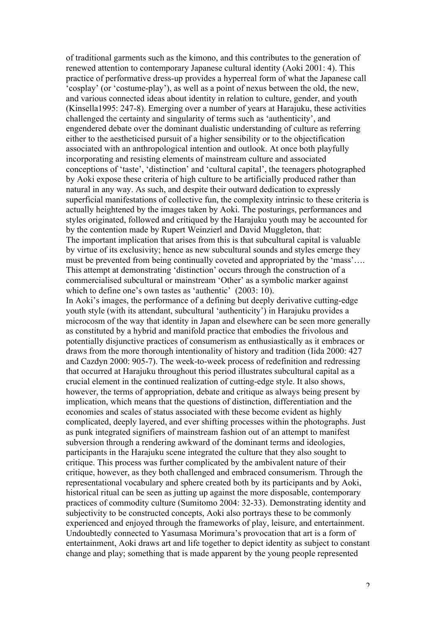of traditional garments such as the kimono, and this contributes to the generation of renewed attention to contemporary Japanese cultural identity (Aoki 2001: 4). This practice of performative dress-up provides a hyperreal form of what the Japanese call 'cosplay' (or 'costume-play'), as well as a point of nexus between the old, the new, and various connected ideas about identity in relation to culture, gender, and youth (Kinsella1995: 247-8). Emerging over a number of years at Harajuku, these activities challenged the certainty and singularity of terms such as 'authenticity', and engendered debate over the dominant dualistic understanding of culture as referring either to the aestheticised pursuit of a higher sensibility or to the objectification associated with an anthropological intention and outlook. At once both playfully incorporating and resisting elements of mainstream culture and associated conceptions of 'taste', 'distinction' and 'cultural capital', the teenagers photographed by Aoki expose these criteria of high culture to be artificially produced rather than natural in any way. As such, and despite their outward dedication to expressly superficial manifestations of collective fun, the complexity intrinsic to these criteria is actually heightened by the images taken by Aoki. The posturings, performances and styles originated, followed and critiqued by the Harajuku youth may be accounted for by the contention made by Rupert Weinzierl and David Muggleton, that: The important implication that arises from this is that subcultural capital is valuable by virtue of its exclusivity; hence as new subcultural sounds and styles emerge they must be prevented from being continually coveted and appropriated by the 'mass'…. This attempt at demonstrating 'distinction' occurs through the construction of a commercialised subcultural or mainstream 'Other' as a symbolic marker against which to define one's own tastes as 'authentic' (2003: 10).

In Aoki's images, the performance of a defining but deeply derivative cutting-edge youth style (with its attendant, subcultural 'authenticity') in Harajuku provides a microcosm of the way that identity in Japan and elsewhere can be seen more generally as constituted by a hybrid and manifold practice that embodies the frivolous and potentially disjunctive practices of consumerism as enthusiastically as it embraces or draws from the more thorough intentionality of history and tradition (Iida 2000: 427 and Cazdyn 2000: 905-7). The week-to-week process of redefinition and redressing that occurred at Harajuku throughout this period illustrates subcultural capital as a crucial element in the continued realization of cutting-edge style. It also shows, however, the terms of appropriation, debate and critique as always being present by implication, which means that the questions of distinction, differentiation and the economies and scales of status associated with these become evident as highly complicated, deeply layered, and ever shifting processes within the photographs. Just as punk integrated signifiers of mainstream fashion out of an attempt to manifest subversion through a rendering awkward of the dominant terms and ideologies, participants in the Harajuku scene integrated the culture that they also sought to critique. This process was further complicated by the ambivalent nature of their critique, however, as they both challenged and embraced consumerism. Through the representational vocabulary and sphere created both by its participants and by Aoki, historical ritual can be seen as jutting up against the more disposable, contemporary practices of commodity culture (Sumitomo 2004: 32-33). Demonstrating identity and subjectivity to be constructed concepts, Aoki also portrays these to be commonly experienced and enjoyed through the frameworks of play, leisure, and entertainment. Undoubtedly connected to Yasumasa Morimura's provocation that art is a form of entertainment, Aoki draws art and life together to depict identity as subject to constant change and play; something that is made apparent by the young people represented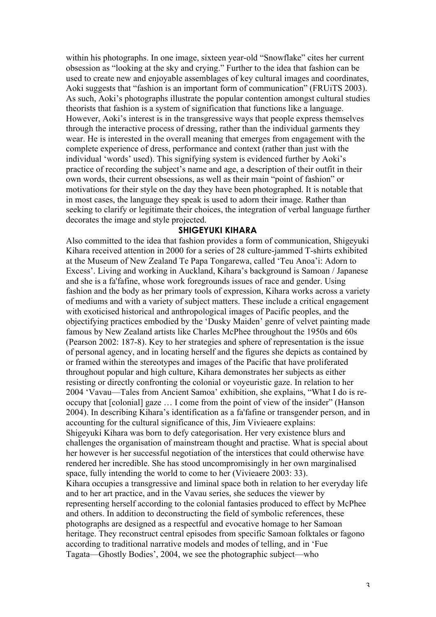within his photographs. In one image, sixteen year-old "Snowflake" cites her current obsession as "looking at the sky and crying." Further to the idea that fashion can be used to create new and enjoyable assemblages of key cultural images and coordinates, Aoki suggests that "fashion is an important form of communication" (FRUiTS 2003). As such, Aoki's photographs illustrate the popular contention amongst cultural studies theorists that fashion is a system of signification that functions like a language. However, Aoki's interest is in the transgressive ways that people express themselves through the interactive process of dressing, rather than the individual garments they wear. He is interested in the overall meaning that emerges from engagement with the complete experience of dress, performance and context (rather than just with the individual 'words' used). This signifying system is evidenced further by Aoki's practice of recording the subject's name and age, a description of their outfit in their own words, their current obsessions, as well as their main "point of fashion" or motivations for their style on the day they have been photographed. It is notable that in most cases, the language they speak is used to adorn their image. Rather than seeking to clarify or legitimate their choices, the integration of verbal language further decorates the image and style projected.

#### **SHIGEYUKI KIHARA**

Also committed to the idea that fashion provides a form of communication, Shigeyuki Kihara received attention in 2000 for a series of 28 culture-jammed T-shirts exhibited at the Museum of New Zealand Te Papa Tongarewa, called 'Teu Anoa'i: Adorn to Excess'. Living and working in Auckland, Kihara's background is Samoan / Japanese and she is a fa'fafine, whose work foregrounds issues of race and gender. Using fashion and the body as her primary tools of expression, Kihara works across a variety of mediums and with a variety of subject matters. These include a critical engagement with exoticised historical and anthropological images of Pacific peoples, and the objectifying practices embodied by the 'Dusky Maiden' genre of velvet painting made famous by New Zealand artists like Charles McPhee throughout the 1950s and 60s (Pearson 2002: 187-8). Key to her strategies and sphere of representation is the issue of personal agency, and in locating herself and the figures she depicts as contained by or framed within the stereotypes and images of the Pacific that have proliferated throughout popular and high culture, Kihara demonstrates her subjects as either resisting or directly confronting the colonial or voyeuristic gaze. In relation to her 2004 'Vavau—Tales from Ancient Samoa' exhibition, she explains, "What I do is reoccupy that [colonial] gaze … I come from the point of view of the insider" (Hanson 2004). In describing Kihara's identification as a fa'fafine or transgender person, and in accounting for the cultural significance of this, Jim Vivieaere explains: Shigeyuki Kihara was born to defy categorisation. Her very existence blurs and challenges the organisation of mainstream thought and practise. What is special about her however is her successful negotiation of the interstices that could otherwise have rendered her incredible. She has stood uncompromisingly in her own marginalised space, fully intending the world to come to her (Vivieaere 2003: 33). Kihara occupies a transgressive and liminal space both in relation to her everyday life and to her art practice, and in the Vavau series, she seduces the viewer by representing herself according to the colonial fantasies produced to effect by McPhee and others. In addition to deconstructing the field of symbolic references, these photographs are designed as a respectful and evocative homage to her Samoan heritage. They reconstruct central episodes from specific Samoan folktales or fagono according to traditional narrative models and modes of telling, and in 'Fue Tagata—Ghostly Bodies', 2004, we see the photographic subject—who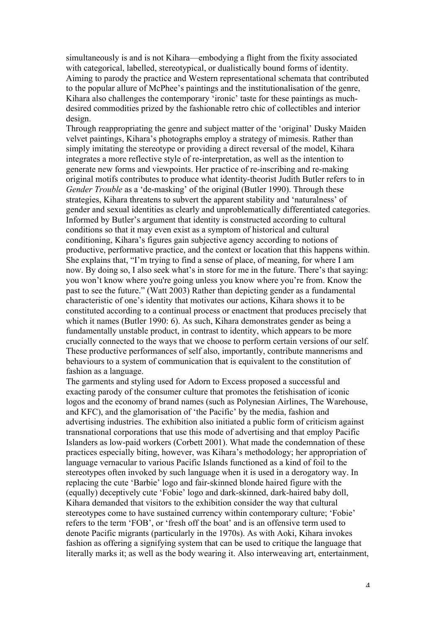simultaneously is and is not Kihara—embodying a flight from the fixity associated with categorical, labelled, stereotypical, or dualistically bound forms of identity. Aiming to parody the practice and Western representational schemata that contributed to the popular allure of McPhee's paintings and the institutionalisation of the genre, Kihara also challenges the contemporary 'ironic' taste for these paintings as muchdesired commodities prized by the fashionable retro chic of collectibles and interior design.

Through reappropriating the genre and subject matter of the 'original' Dusky Maiden velvet paintings, Kihara's photographs employ a strategy of mimesis. Rather than simply imitating the stereotype or providing a direct reversal of the model, Kihara integrates a more reflective style of re-interpretation, as well as the intention to generate new forms and viewpoints. Her practice of re-inscribing and re-making original motifs contributes to produce what identity-theorist Judith Butler refers to in *Gender Trouble* as a 'de-masking' of the original (Butler 1990). Through these strategies, Kihara threatens to subvert the apparent stability and 'naturalness' of gender and sexual identities as clearly and unproblematically differentiated categories. Informed by Butler's argument that identity is constructed according to cultural conditions so that it may even exist as a symptom of historical and cultural conditioning, Kihara's figures gain subjective agency according to notions of productive, performative practice, and the context or location that this happens within. She explains that, "I'm trying to find a sense of place, of meaning, for where I am now. By doing so, I also seek what's in store for me in the future. There's that saying: you won't know where you're going unless you know where you're from. Know the past to see the future." (Watt 2003) Rather than depicting gender as a fundamental characteristic of one's identity that motivates our actions, Kihara shows it to be constituted according to a continual process or enactment that produces precisely that which it names (Butler 1990: 6). As such, Kihara demonstrates gender as being a fundamentally unstable product, in contrast to identity, which appears to be more crucially connected to the ways that we choose to perform certain versions of our self. These productive performances of self also, importantly, contribute mannerisms and behaviours to a system of communication that is equivalent to the constitution of fashion as a language.

The garments and styling used for Adorn to Excess proposed a successful and exacting parody of the consumer culture that promotes the fetishisation of iconic logos and the economy of brand names (such as Polynesian Airlines, The Warehouse, and KFC), and the glamorisation of 'the Pacific' by the media, fashion and advertising industries. The exhibition also initiated a public form of criticism against transnational corporations that use this mode of advertising and that employ Pacific Islanders as low-paid workers (Corbett 2001). What made the condemnation of these practices especially biting, however, was Kihara's methodology; her appropriation of language vernacular to various Pacific Islands functioned as a kind of foil to the stereotypes often invoked by such language when it is used in a derogatory way. In replacing the cute 'Barbie' logo and fair-skinned blonde haired figure with the (equally) deceptively cute 'Fobie' logo and dark-skinned, dark-haired baby doll, Kihara demanded that visitors to the exhibition consider the way that cultural stereotypes come to have sustained currency within contemporary culture; 'Fobie' refers to the term 'FOB', or 'fresh off the boat' and is an offensive term used to denote Pacific migrants (particularly in the 1970s). As with Aoki, Kihara invokes fashion as offering a signifying system that can be used to critique the language that literally marks it; as well as the body wearing it. Also interweaving art, entertainment,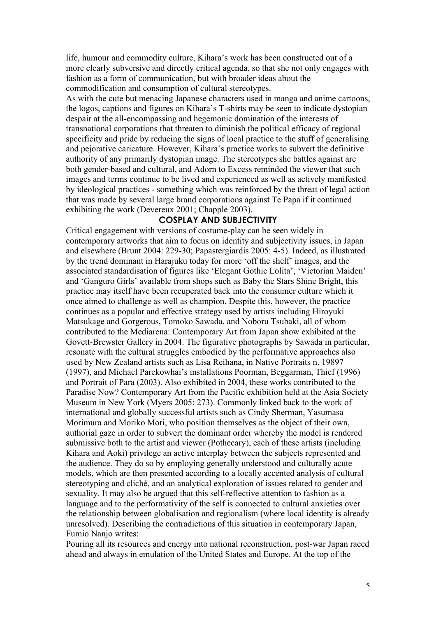life, humour and commodity culture, Kihara's work has been constructed out of a more clearly subversive and directly critical agenda, so that she not only engages with fashion as a form of communication, but with broader ideas about the commodification and consumption of cultural stereotypes.

As with the cute but menacing Japanese characters used in manga and anime cartoons, the logos, captions and figures on Kihara's T-shirts may be seen to indicate dystopian despair at the all-encompassing and hegemonic domination of the interests of transnational corporations that threaten to diminish the political efficacy of regional specificity and pride by reducing the signs of local practice to the stuff of generalising and pejorative caricature. However, Kihara's practice works to subvert the definitive authority of any primarily dystopian image. The stereotypes she battles against are both gender-based and cultural, and Adorn to Excess reminded the viewer that such images and terms continue to be lived and experienced as well as actively manifested by ideological practices - something which was reinforced by the threat of legal action that was made by several large brand corporations against Te Papa if it continued exhibiting the work (Devereux 2001; Chapple 2003).

## **COSPLAY AND SUBJECTIVITY**

Critical engagement with versions of costume-play can be seen widely in contemporary artworks that aim to focus on identity and subjectivity issues, in Japan and elsewhere (Brunt 2004: 229-30; Papastergiardis 2005: 4-5). Indeed, as illustrated by the trend dominant in Harajuku today for more 'off the shelf' images, and the associated standardisation of figures like 'Elegant Gothic Lolita', 'Victorian Maiden' and 'Ganguro Girls' available from shops such as Baby the Stars Shine Bright, this practice may itself have been recuperated back into the consumer culture which it once aimed to challenge as well as champion. Despite this, however, the practice continues as a popular and effective strategy used by artists including Hiroyuki Matsukage and Gorgerous, Tomoko Sawada, and Noboru Tsubaki, all of whom contributed to the Mediarena: Contemporary Art from Japan show exhibited at the Govett-Brewster Gallery in 2004. The figurative photographs by Sawada in particular, resonate with the cultural struggles embodied by the performative approaches also used by New Zealand artists such as Lisa Reihana, in Native Portraits n. 19897 (1997), and Michael Parekowhai's installations Poorman, Beggarman, Thief (1996) and Portrait of Para (2003). Also exhibited in 2004, these works contributed to the Paradise Now? Contemporary Art from the Pacific exhibition held at the Asia Society Museum in New York (Myers 2005: 273). Commonly linked back to the work of international and globally successful artists such as Cindy Sherman, Yasumasa Morimura and Moriko Mori, who position themselves as the object of their own, authorial gaze in order to subvert the dominant order whereby the model is rendered submissive both to the artist and viewer (Pothecary), each of these artists (including Kihara and Aoki) privilege an active interplay between the subjects represented and the audience. They do so by employing generally understood and culturally acute models, which are then presented according to a locally accented analysis of cultural stereotyping and cliché, and an analytical exploration of issues related to gender and sexuality. It may also be argued that this self-reflective attention to fashion as a language and to the performativity of the self is connected to cultural anxieties over the relationship between globalisation and regionalism (where local identity is already unresolved). Describing the contradictions of this situation in contemporary Japan, Fumio Nanjo writes:

Pouring all its resources and energy into national reconstruction, post-war Japan raced ahead and always in emulation of the United States and Europe. At the top of the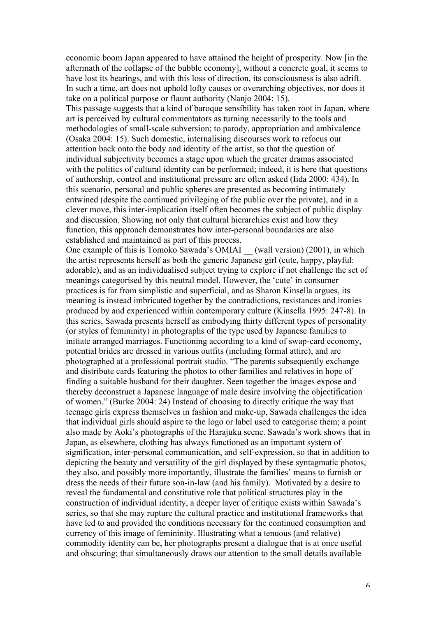economic boom Japan appeared to have attained the height of prosperity. Now [in the aftermath of the collapse of the bubble economy], without a concrete goal, it seems to have lost its bearings, and with this loss of direction, its consciousness is also adrift. In such a time, art does not uphold lofty causes or overarching objectives, nor does it take on a political purpose or flaunt authority (Nanjo 2004: 15).

This passage suggests that a kind of baroque sensibility has taken root in Japan, where art is perceived by cultural commentators as turning necessarily to the tools and methodologies of small-scale subversion; to parody, appropriation and ambivalence (Osaka 2004: 15). Such domestic, internalising discourses work to refocus our attention back onto the body and identity of the artist, so that the question of individual subjectivity becomes a stage upon which the greater dramas associated with the politics of cultural identity can be performed; indeed, it is here that questions of authorship, control and institutional pressure are often asked (Iida 2000: 434). In this scenario, personal and public spheres are presented as becoming intimately entwined (despite the continued privileging of the public over the private), and in a clever move, this inter-implication itself often becomes the subject of public display and discussion. Showing not only that cultural hierarchies exist and how they function, this approach demonstrates how inter-personal boundaries are also established and maintained as part of this process.

One example of this is Tomoko Sawada's OMIAI (wall version) (2001), in which the artist represents herself as both the generic Japanese girl (cute, happy, playful: adorable), and as an individualised subject trying to explore if not challenge the set of meanings categorised by this neutral model. However, the 'cute' in consumer practices is far from simplistic and superficial, and as Sharon Kinsella argues, its meaning is instead imbricated together by the contradictions, resistances and ironies produced by and experienced within contemporary culture (Kinsella 1995: 247-8). In this series, Sawada presents herself as embodying thirty different types of personality (or styles of femininity) in photographs of the type used by Japanese families to initiate arranged marriages. Functioning according to a kind of swap-card economy, potential brides are dressed in various outfits (including formal attire), and are photographed at a professional portrait studio. "The parents subsequently exchange and distribute cards featuring the photos to other families and relatives in hope of finding a suitable husband for their daughter. Seen together the images expose and thereby deconstruct a Japanese language of male desire involving the objectification of women." (Burke 2004: 24) Instead of choosing to directly critique the way that teenage girls express themselves in fashion and make-up, Sawada challenges the idea that individual girls should aspire to the logo or label used to categorise them; a point also made by Aoki's photographs of the Harajuku scene. Sawada's work shows that in Japan, as elsewhere, clothing has always functioned as an important system of signification, inter-personal communication, and self-expression, so that in addition to depicting the beauty and versatility of the girl displayed by these syntagmatic photos, they also, and possibly more importantly, illustrate the families' means to furnish or dress the needs of their future son-in-law (and his family). Motivated by a desire to reveal the fundamental and constitutive role that political structures play in the construction of individual identity, a deeper layer of critique exists within Sawada's series, so that she may rupture the cultural practice and institutional frameworks that have led to and provided the conditions necessary for the continued consumption and currency of this image of femininity. Illustrating what a tenuous (and relative) commodity identity can be, her photographs present a dialogue that is at once useful and obscuring; that simultaneously draws our attention to the small details available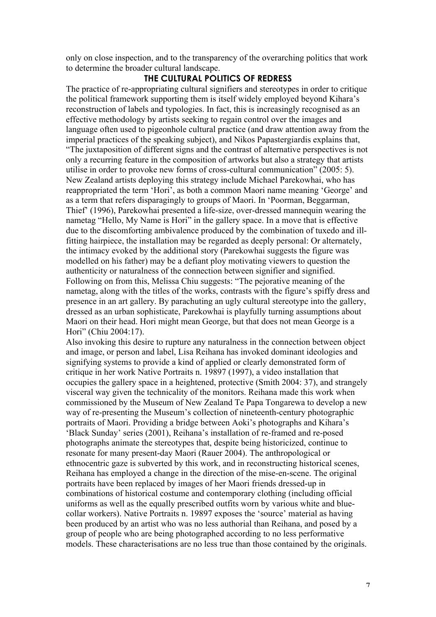only on close inspection, and to the transparency of the overarching politics that work to determine the broader cultural landscape.

# **THE CULTURAL POLITICS OF REDRESS**

The practice of re-appropriating cultural signifiers and stereotypes in order to critique the political framework supporting them is itself widely employed beyond Kihara's reconstruction of labels and typologies. In fact, this is increasingly recognised as an effective methodology by artists seeking to regain control over the images and language often used to pigeonhole cultural practice (and draw attention away from the imperial practices of the speaking subject), and Nikos Papastergiardis explains that, "The juxtaposition of different signs and the contrast of alternative perspectives is not only a recurring feature in the composition of artworks but also a strategy that artists utilise in order to provoke new forms of cross-cultural communication" (2005: 5). New Zealand artists deploying this strategy include Michael Parekowhai, who has reappropriated the term 'Hori', as both a common Maori name meaning 'George' and as a term that refers disparagingly to groups of Maori. In 'Poorman, Beggarman, Thief' (1996), Parekowhai presented a life-size, over-dressed mannequin wearing the nametag "Hello, My Name is Hori" in the gallery space. In a move that is effective due to the discomforting ambivalence produced by the combination of tuxedo and illfitting hairpiece, the installation may be regarded as deeply personal: Or alternately, the intimacy evoked by the additional story (Parekowhai suggests the figure was modelled on his father) may be a defiant ploy motivating viewers to question the authenticity or naturalness of the connection between signifier and signified. Following on from this, Melissa Chiu suggests: "The pejorative meaning of the nametag, along with the titles of the works, contrasts with the figure's spiffy dress and presence in an art gallery. By parachuting an ugly cultural stereotype into the gallery, dressed as an urban sophisticate, Parekowhai is playfully turning assumptions about Maori on their head. Hori might mean George, but that does not mean George is a Hori" (Chiu 2004:17).

Also invoking this desire to rupture any naturalness in the connection between object and image, or person and label, Lisa Reihana has invoked dominant ideologies and signifying systems to provide a kind of applied or clearly demonstrated form of critique in her work Native Portraits n. 19897 (1997), a video installation that occupies the gallery space in a heightened, protective (Smith 2004: 37), and strangely visceral way given the technicality of the monitors. Reihana made this work when commissioned by the Museum of New Zealand Te Papa Tongarewa to develop a new way of re-presenting the Museum's collection of nineteenth-century photographic portraits of Maori. Providing a bridge between Aoki's photographs and Kihara's 'Black Sunday' series (2001), Reihana's installation of re-framed and re-posed photographs animate the stereotypes that, despite being historicized, continue to resonate for many present-day Maori (Rauer 2004). The anthropological or ethnocentric gaze is subverted by this work, and in reconstructing historical scenes, Reihana has employed a change in the direction of the mise-en-scene. The original portraits have been replaced by images of her Maori friends dressed-up in combinations of historical costume and contemporary clothing (including official uniforms as well as the equally prescribed outfits worn by various white and bluecollar workers). Native Portraits n. 19897 exposes the 'source' material as having been produced by an artist who was no less authorial than Reihana, and posed by a group of people who are being photographed according to no less performative models. These characterisations are no less true than those contained by the originals.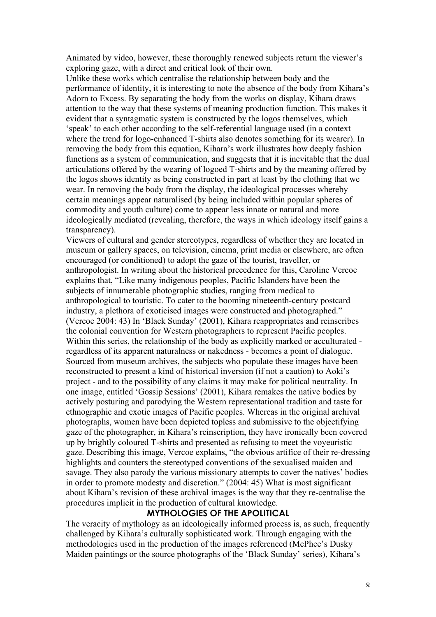Animated by video, however, these thoroughly renewed subjects return the viewer's exploring gaze, with a direct and critical look of their own.

Unlike these works which centralise the relationship between body and the performance of identity, it is interesting to note the absence of the body from Kihara's Adorn to Excess. By separating the body from the works on display, Kihara draws attention to the way that these systems of meaning production function. This makes it evident that a syntagmatic system is constructed by the logos themselves, which 'speak' to each other according to the self-referential language used (in a context where the trend for logo-enhanced T-shirts also denotes something for its wearer). In removing the body from this equation, Kihara's work illustrates how deeply fashion functions as a system of communication, and suggests that it is inevitable that the dual articulations offered by the wearing of logoed T-shirts and by the meaning offered by the logos shows identity as being constructed in part at least by the clothing that we wear. In removing the body from the display, the ideological processes whereby certain meanings appear naturalised (by being included within popular spheres of commodity and youth culture) come to appear less innate or natural and more ideologically mediated (revealing, therefore, the ways in which ideology itself gains a transparency).

Viewers of cultural and gender stereotypes, regardless of whether they are located in museum or gallery spaces, on television, cinema, print media or elsewhere, are often encouraged (or conditioned) to adopt the gaze of the tourist, traveller, or anthropologist. In writing about the historical precedence for this, Caroline Vercoe explains that, "Like many indigenous peoples, Pacific Islanders have been the subjects of innumerable photographic studies, ranging from medical to anthropological to touristic. To cater to the booming nineteenth-century postcard industry, a plethora of exoticised images were constructed and photographed." (Vercoe 2004: 43) In 'Black Sunday' (2001), Kihara reappropriates and reinscribes the colonial convention for Western photographers to represent Pacific peoples. Within this series, the relationship of the body as explicitly marked or acculturated regardless of its apparent naturalness or nakedness - becomes a point of dialogue. Sourced from museum archives, the subjects who populate these images have been reconstructed to present a kind of historical inversion (if not a caution) to Aoki's project - and to the possibility of any claims it may make for political neutrality. In one image, entitled 'Gossip Sessions' (2001), Kihara remakes the native bodies by actively posturing and parodying the Western representational tradition and taste for ethnographic and exotic images of Pacific peoples. Whereas in the original archival photographs, women have been depicted topless and submissive to the objectifying gaze of the photographer, in Kihara's reinscription, they have ironically been covered up by brightly coloured T-shirts and presented as refusing to meet the voyeuristic gaze. Describing this image, Vercoe explains, "the obvious artifice of their re-dressing highlights and counters the stereotyped conventions of the sexualised maiden and savage. They also parody the various missionary attempts to cover the natives' bodies in order to promote modesty and discretion." (2004: 45) What is most significant about Kihara's revision of these archival images is the way that they re-centralise the procedures implicit in the production of cultural knowledge.

### **MYTHOLOGIES OF THE APOLITICAL**

The veracity of mythology as an ideologically informed process is, as such, frequently challenged by Kihara's culturally sophisticated work. Through engaging with the methodologies used in the production of the images referenced (McPhee's Dusky Maiden paintings or the source photographs of the 'Black Sunday' series), Kihara's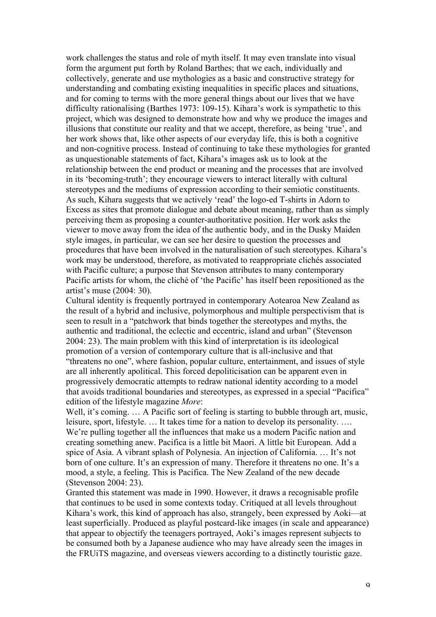work challenges the status and role of myth itself. It may even translate into visual form the argument put forth by Roland Barthes; that we each, individually and collectively, generate and use mythologies as a basic and constructive strategy for understanding and combating existing inequalities in specific places and situations, and for coming to terms with the more general things about our lives that we have difficulty rationalising (Barthes 1973: 109-15). Kihara's work is sympathetic to this project, which was designed to demonstrate how and why we produce the images and illusions that constitute our reality and that we accept, therefore, as being 'true', and her work shows that, like other aspects of our everyday life, this is both a cognitive and non-cognitive process. Instead of continuing to take these mythologies for granted as unquestionable statements of fact, Kihara's images ask us to look at the relationship between the end product or meaning and the processes that are involved in its 'becoming-truth'; they encourage viewers to interact literally with cultural stereotypes and the mediums of expression according to their semiotic constituents. As such, Kihara suggests that we actively 'read' the logo-ed T-shirts in Adorn to Excess as sites that promote dialogue and debate about meaning, rather than as simply perceiving them as proposing a counter-authoritative position. Her work asks the viewer to move away from the idea of the authentic body, and in the Dusky Maiden style images, in particular, we can see her desire to question the processes and procedures that have been involved in the naturalisation of such stereotypes. Kihara's work may be understood, therefore, as motivated to reappropriate clichés associated with Pacific culture; a purpose that Stevenson attributes to many contemporary Pacific artists for whom, the cliché of 'the Pacific' has itself been repositioned as the artist's muse (2004: 30).

Cultural identity is frequently portrayed in contemporary Aotearoa New Zealand as the result of a hybrid and inclusive, polymorphous and multiple perspectivism that is seen to result in a "patchwork that binds together the stereotypes and myths, the authentic and traditional, the eclectic and eccentric, island and urban" (Stevenson 2004: 23). The main problem with this kind of interpretation is its ideological promotion of a version of contemporary culture that is all-inclusive and that "threatens no one", where fashion, popular culture, entertainment, and issues of style are all inherently apolitical. This forced depoliticisation can be apparent even in progressively democratic attempts to redraw national identity according to a model that avoids traditional boundaries and stereotypes, as expressed in a special "Pacifica" edition of the lifestyle magazine *More*:

Well, it's coming. ... A Pacific sort of feeling is starting to bubble through art, music, leisure, sport, lifestyle. … It takes time for a nation to develop its personality. …. We're pulling together all the influences that make us a modern Pacific nation and creating something anew. Pacifica is a little bit Maori. A little bit European. Add a spice of Asia. A vibrant splash of Polynesia. An injection of California. … It's not born of one culture. It's an expression of many. Therefore it threatens no one. It's a mood, a style, a feeling. This is Pacifica. The New Zealand of the new decade (Stevenson 2004: 23).

Granted this statement was made in 1990. However, it draws a recognisable profile that continues to be used in some contexts today. Critiqued at all levels throughout Kihara's work, this kind of approach has also, strangely, been expressed by Aoki—at least superficially. Produced as playful postcard-like images (in scale and appearance) that appear to objectify the teenagers portrayed, Aoki's images represent subjects to be consumed both by a Japanese audience who may have already seen the images in the FRUiTS magazine, and overseas viewers according to a distinctly touristic gaze.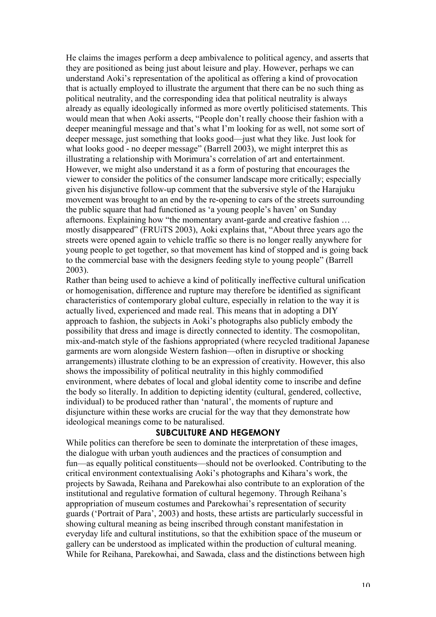He claims the images perform a deep ambivalence to political agency, and asserts that they are positioned as being just about leisure and play. However, perhaps we can understand Aoki's representation of the apolitical as offering a kind of provocation that is actually employed to illustrate the argument that there can be no such thing as political neutrality, and the corresponding idea that political neutrality is always already as equally ideologically informed as more overtly politicised statements. This would mean that when Aoki asserts, "People don't really choose their fashion with a deeper meaningful message and that's what I'm looking for as well, not some sort of deeper message, just something that looks good—just what they like. Just look for what looks good - no deeper message" (Barrell 2003), we might interpret this as illustrating a relationship with Morimura's correlation of art and entertainment. However, we might also understand it as a form of posturing that encourages the viewer to consider the politics of the consumer landscape more critically; especially given his disjunctive follow-up comment that the subversive style of the Harajuku movement was brought to an end by the re-opening to cars of the streets surrounding the public square that had functioned as 'a young people's haven' on Sunday afternoons. Explaining how "the momentary avant-garde and creative fashion … mostly disappeared" (FRUiTS 2003), Aoki explains that, "About three years ago the streets were opened again to vehicle traffic so there is no longer really anywhere for young people to get together, so that movement has kind of stopped and is going back to the commercial base with the designers feeding style to young people" (Barrell 2003).

Rather than being used to achieve a kind of politically ineffective cultural unification or homogenisation, difference and rupture may therefore be identified as significant characteristics of contemporary global culture, especially in relation to the way it is actually lived, experienced and made real. This means that in adopting a DIY approach to fashion, the subjects in Aoki's photographs also publicly embody the possibility that dress and image is directly connected to identity. The cosmopolitan, mix-and-match style of the fashions appropriated (where recycled traditional Japanese garments are worn alongside Western fashion—often in disruptive or shocking arrangements) illustrate clothing to be an expression of creativity. However, this also shows the impossibility of political neutrality in this highly commodified environment, where debates of local and global identity come to inscribe and define the body so literally. In addition to depicting identity (cultural, gendered, collective, individual) to be produced rather than 'natural', the moments of rupture and disjuncture within these works are crucial for the way that they demonstrate how ideological meanings come to be naturalised.

### **SUBCULTURE AND HEGEMONY**

While politics can therefore be seen to dominate the interpretation of these images, the dialogue with urban youth audiences and the practices of consumption and fun—as equally political constituents—should not be overlooked. Contributing to the critical environment contextualising Aoki's photographs and Kihara's work, the projects by Sawada, Reihana and Parekowhai also contribute to an exploration of the institutional and regulative formation of cultural hegemony. Through Reihana's appropriation of museum costumes and Parekowhai's representation of security guards ('Portrait of Para', 2003) and hosts, these artists are particularly successful in showing cultural meaning as being inscribed through constant manifestation in everyday life and cultural institutions, so that the exhibition space of the museum or gallery can be understood as implicated within the production of cultural meaning. While for Reihana, Parekowhai, and Sawada, class and the distinctions between high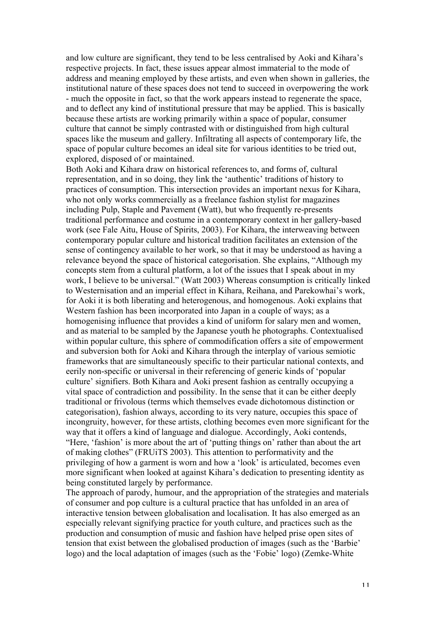and low culture are significant, they tend to be less centralised by Aoki and Kihara's respective projects. In fact, these issues appear almost immaterial to the mode of address and meaning employed by these artists, and even when shown in galleries, the institutional nature of these spaces does not tend to succeed in overpowering the work - much the opposite in fact, so that the work appears instead to regenerate the space, and to deflect any kind of institutional pressure that may be applied. This is basically because these artists are working primarily within a space of popular, consumer culture that cannot be simply contrasted with or distinguished from high cultural spaces like the museum and gallery. Infiltrating all aspects of contemporary life, the space of popular culture becomes an ideal site for various identities to be tried out, explored, disposed of or maintained.

Both Aoki and Kihara draw on historical references to, and forms of, cultural representation, and in so doing, they link the 'authentic' traditions of history to practices of consumption. This intersection provides an important nexus for Kihara, who not only works commercially as a freelance fashion stylist for magazines including Pulp, Staple and Pavement (Watt), but who frequently re-presents traditional performance and costume in a contemporary context in her gallery-based work (see Fale Aitu, House of Spirits, 2003). For Kihara, the interweaving between contemporary popular culture and historical tradition facilitates an extension of the sense of contingency available to her work, so that it may be understood as having a relevance beyond the space of historical categorisation. She explains, "Although my concepts stem from a cultural platform, a lot of the issues that I speak about in my work, I believe to be universal." (Watt 2003) Whereas consumption is critically linked to Westernisation and an imperial effect in Kihara, Reihana, and Parekowhai's work, for Aoki it is both liberating and heterogenous, and homogenous. Aoki explains that Western fashion has been incorporated into Japan in a couple of ways; as a homogenising influence that provides a kind of uniform for salary men and women, and as material to be sampled by the Japanese youth he photographs. Contextualised within popular culture, this sphere of commodification offers a site of empowerment and subversion both for Aoki and Kihara through the interplay of various semiotic frameworks that are simultaneously specific to their particular national contexts, and eerily non-specific or universal in their referencing of generic kinds of 'popular culture' signifiers. Both Kihara and Aoki present fashion as centrally occupying a vital space of contradiction and possibility. In the sense that it can be either deeply traditional or frivolous (terms which themselves evade dichotomous distinction or categorisation), fashion always, according to its very nature, occupies this space of incongruity, however, for these artists, clothing becomes even more significant for the way that it offers a kind of language and dialogue. Accordingly, Aoki contends, "Here, 'fashion' is more about the art of 'putting things on' rather than about the art of making clothes" (FRUiTS 2003). This attention to performativity and the privileging of how a garment is worn and how a 'look' is articulated, becomes even more significant when looked at against Kihara's dedication to presenting identity as being constituted largely by performance.

The approach of parody, humour, and the appropriation of the strategies and materials of consumer and pop culture is a cultural practice that has unfolded in an area of interactive tension between globalisation and localisation. It has also emerged as an especially relevant signifying practice for youth culture, and practices such as the production and consumption of music and fashion have helped prise open sites of tension that exist between the globalised production of images (such as the 'Barbie' logo) and the local adaptation of images (such as the 'Fobie' logo) (Zemke-White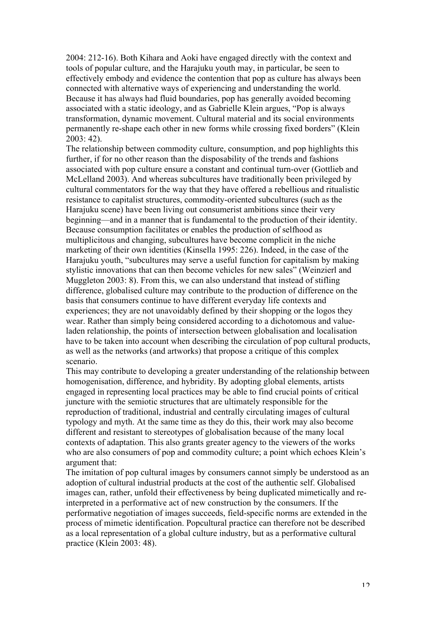2004: 212-16). Both Kihara and Aoki have engaged directly with the context and tools of popular culture, and the Harajuku youth may, in particular, be seen to effectively embody and evidence the contention that pop as culture has always been connected with alternative ways of experiencing and understanding the world. Because it has always had fluid boundaries, pop has generally avoided becoming associated with a static ideology, and as Gabrielle Klein argues, "Pop is always transformation, dynamic movement. Cultural material and its social environments permanently re-shape each other in new forms while crossing fixed borders" (Klein 2003: 42).

The relationship between commodity culture, consumption, and pop highlights this further, if for no other reason than the disposability of the trends and fashions associated with pop culture ensure a constant and continual turn-over (Gottlieb and McLelland 2003). And whereas subcultures have traditionally been privileged by cultural commentators for the way that they have offered a rebellious and ritualistic resistance to capitalist structures, commodity-oriented subcultures (such as the Harajuku scene) have been living out consumerist ambitions since their very beginning—and in a manner that is fundamental to the production of their identity. Because consumption facilitates or enables the production of selfhood as multiplicitous and changing, subcultures have become complicit in the niche marketing of their own identities (Kinsella 1995: 226). Indeed, in the case of the Harajuku youth, "subcultures may serve a useful function for capitalism by making stylistic innovations that can then become vehicles for new sales" (Weinzierl and Muggleton 2003: 8). From this, we can also understand that instead of stifling difference, globalised culture may contribute to the production of difference on the basis that consumers continue to have different everyday life contexts and experiences; they are not unavoidably defined by their shopping or the logos they wear. Rather than simply being considered according to a dichotomous and valueladen relationship, the points of intersection between globalisation and localisation have to be taken into account when describing the circulation of pop cultural products, as well as the networks (and artworks) that propose a critique of this complex scenario.

This may contribute to developing a greater understanding of the relationship between homogenisation, difference, and hybridity. By adopting global elements, artists engaged in representing local practices may be able to find crucial points of critical juncture with the semiotic structures that are ultimately responsible for the reproduction of traditional, industrial and centrally circulating images of cultural typology and myth. At the same time as they do this, their work may also become different and resistant to stereotypes of globalisation because of the many local contexts of adaptation. This also grants greater agency to the viewers of the works who are also consumers of pop and commodity culture; a point which echoes Klein's argument that:

The imitation of pop cultural images by consumers cannot simply be understood as an adoption of cultural industrial products at the cost of the authentic self. Globalised images can, rather, unfold their effectiveness by being duplicated mimetically and reinterpreted in a performative act of new construction by the consumers. If the performative negotiation of images succeeds, field-specific norms are extended in the process of mimetic identification. Popcultural practice can therefore not be described as a local representation of a global culture industry, but as a performative cultural practice (Klein 2003: 48).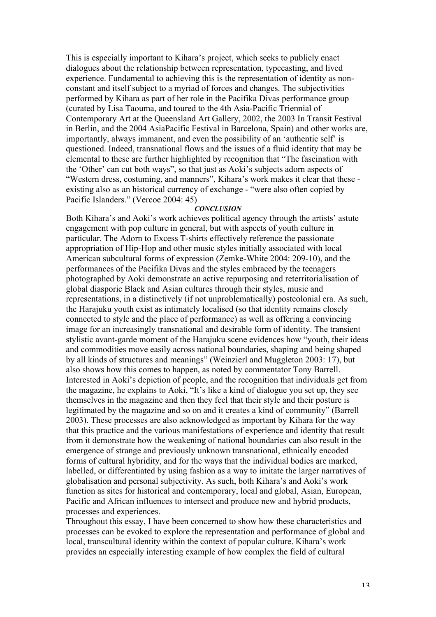This is especially important to Kihara's project, which seeks to publicly enact dialogues about the relationship between representation, typecasting, and lived experience. Fundamental to achieving this is the representation of identity as nonconstant and itself subject to a myriad of forces and changes. The subjectivities performed by Kihara as part of her role in the Pacifika Divas performance group (curated by Lisa Taouma, and toured to the 4th Asia-Pacific Triennial of Contemporary Art at the Queensland Art Gallery, 2002, the 2003 In Transit Festival in Berlin, and the 2004 AsiaPacific Festival in Barcelona, Spain) and other works are, importantly, always immanent, and even the possibility of an 'authentic self' is questioned. Indeed, transnational flows and the issues of a fluid identity that may be elemental to these are further highlighted by recognition that "The fascination with the 'Other' can cut both ways", so that just as Aoki's subjects adorn aspects of "Western dress, costuming, and manners", Kihara's work makes it clear that these existing also as an historical currency of exchange - "were also often copied by Pacific Islanders." (Vercoe 2004: 45)

### *CONCLUSION*

Both Kihara's and Aoki's work achieves political agency through the artists' astute engagement with pop culture in general, but with aspects of youth culture in particular. The Adorn to Excess T-shirts effectively reference the passionate appropriation of Hip-Hop and other music styles initially associated with local American subcultural forms of expression (Zemke-White 2004: 209-10), and the performances of the Pacifika Divas and the styles embraced by the teenagers photographed by Aoki demonstrate an active repurposing and reterritorialisation of global diasporic Black and Asian cultures through their styles, music and representations, in a distinctively (if not unproblematically) postcolonial era. As such, the Harajuku youth exist as intimately localised (so that identity remains closely connected to style and the place of performance) as well as offering a convincing image for an increasingly transnational and desirable form of identity. The transient stylistic avant-garde moment of the Harajuku scene evidences how "youth, their ideas and commodities move easily across national boundaries, shaping and being shaped by all kinds of structures and meanings" (Weinzierl and Muggleton 2003: 17), but also shows how this comes to happen, as noted by commentator Tony Barrell. Interested in Aoki's depiction of people, and the recognition that individuals get from the magazine, he explains to Aoki, "It's like a kind of dialogue you set up, they see themselves in the magazine and then they feel that their style and their posture is legitimated by the magazine and so on and it creates a kind of community" (Barrell 2003). These processes are also acknowledged as important by Kihara for the way that this practice and the various manifestations of experience and identity that result from it demonstrate how the weakening of national boundaries can also result in the emergence of strange and previously unknown transnational, ethnically encoded forms of cultural hybridity, and for the ways that the individual bodies are marked, labelled, or differentiated by using fashion as a way to imitate the larger narratives of globalisation and personal subjectivity. As such, both Kihara's and Aoki's work function as sites for historical and contemporary, local and global, Asian, European, Pacific and African influences to intersect and produce new and hybrid products, processes and experiences.

Throughout this essay, I have been concerned to show how these characteristics and processes can be evoked to explore the representation and performance of global and local, transcultural identity within the context of popular culture. Kihara's work provides an especially interesting example of how complex the field of cultural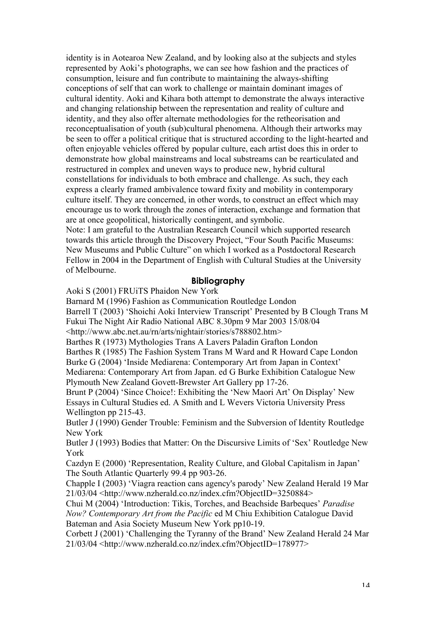identity is in Aotearoa New Zealand, and by looking also at the subjects and styles represented by Aoki's photographs, we can see how fashion and the practices of consumption, leisure and fun contribute to maintaining the always-shifting conceptions of self that can work to challenge or maintain dominant images of cultural identity. Aoki and Kihara both attempt to demonstrate the always interactive and changing relationship between the representation and reality of culture and identity, and they also offer alternate methodologies for the retheorisation and reconceptualisation of youth (sub)cultural phenomena. Although their artworks may be seen to offer a political critique that is structured according to the light-hearted and often enjoyable vehicles offered by popular culture, each artist does this in order to demonstrate how global mainstreams and local substreams can be rearticulated and restructured in complex and uneven ways to produce new, hybrid cultural constellations for individuals to both embrace and challenge. As such, they each express a clearly framed ambivalence toward fixity and mobility in contemporary culture itself. They are concerned, in other words, to construct an effect which may encourage us to work through the zones of interaction, exchange and formation that are at once geopolitical, historically contingent, and symbolic.

Note: I am grateful to the Australian Research Council which supported research towards this article through the Discovery Project, "Four South Pacific Museums: New Museums and Public Culture" on which I worked as a Postdoctoral Research Fellow in 2004 in the Department of English with Cultural Studies at the University of Melbourne.

#### **Bibliography**

Aoki S (2001) FRUiTS Phaidon New York

Barnard M (1996) Fashion as Communication Routledge London Barrell T (2003) 'Shoichi Aoki Interview Transcript' Presented by B Clough Trans M

Fukui The Night Air Radio National ABC 8.30pm 9 Mar 2003 15/08/04

<http://www.abc.net.au/rn/arts/nightair/stories/s788802.htm>

Barthes R (1973) Mythologies Trans A Lavers Paladin Grafton London Barthes R (1985) The Fashion System Trans M Ward and R Howard Cape London Burke G (2004) 'Inside Mediarena: Contemporary Art from Japan in Context' Mediarena: Contemporary Art from Japan. ed G Burke Exhibition Catalogue New Plymouth New Zealand Govett-Brewster Art Gallery pp 17-26.

Brunt P (2004) 'Since Choice!: Exhibiting the 'New Maori Art' On Display' New Essays in Cultural Studies ed. A Smith and L Wevers Victoria University Press Wellington pp 215-43.

Butler J (1990) Gender Trouble: Feminism and the Subversion of Identity Routledge New York

Butler J (1993) Bodies that Matter: On the Discursive Limits of 'Sex' Routledge New York

Cazdyn E (2000) 'Representation, Reality Culture, and Global Capitalism in Japan' The South Atlantic Quarterly 99.4 pp 903-26.

Chapple I (2003) 'Viagra reaction cans agency's parody' New Zealand Herald 19 Mar 21/03/04 <http://www.nzherald.co.nz/index.cfm?ObjectID=3250884>

Chui M (2004) 'Introduction: Tikis, Torches, and Beachside Barbeques' *Paradise Now? Contemporary Art from the Pacific* ed M Chiu Exhibition Catalogue David Bateman and Asia Society Museum New York pp10-19.

Corbett J (2001) 'Challenging the Tyranny of the Brand' New Zealand Herald 24 Mar 21/03/04 <http://www.nzherald.co.nz/index.cfm?ObjectID=178977>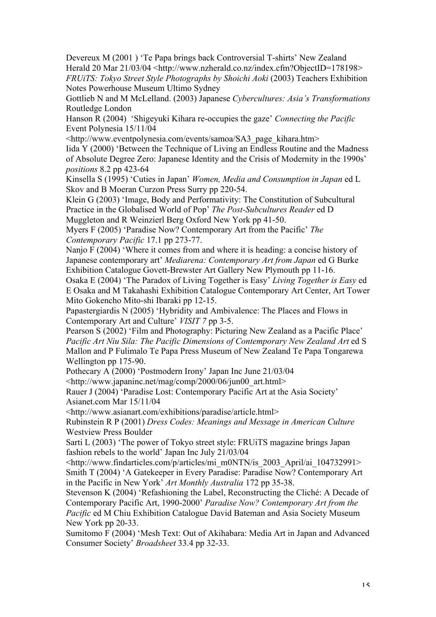Devereux M (2001 ) 'Te Papa brings back Controversial T-shirts' New Zealand Herald 20 Mar 21/03/04 <http://www.nzherald.co.nz/index.cfm?ObjectID=178198> *FRUiTS: Tokyo Street Style Photographs by Shoichi Aoki* (2003) Teachers Exhibition Notes Powerhouse Museum Ultimo Sydney

Gottlieb N and M McLelland. (2003) Japanese *Cybercultures: Asia's Transformations* Routledge London

Hanson R (2004) 'Shigeyuki Kihara re-occupies the gaze' *Connecting the Pacific* Event Polynesia 15/11/04

<http://www.eventpolynesia.com/events/samoa/SA3\_page\_kihara.htm> Iida Y (2000) 'Between the Technique of Living an Endless Routine and the Madness of Absolute Degree Zero: Japanese Identity and the Crisis of Modernity in the 1990s' *positions* 8.2 pp 423-64

Kinsella S (1995) 'Cuties in Japan' *Women, Media and Consumption in Japan* ed L Skov and B Moeran Curzon Press Surry pp 220-54.

Klein G (2003) 'Image, Body and Performativity: The Constitution of Subcultural Practice in the Globalised World of Pop' *The Post-Subcultures Reader* ed D Muggleton and R Weinzierl Berg Oxford New York pp 41-50.

Myers F (2005) 'Paradise Now? Contemporary Art from the Pacific' *The Contemporary Pacific* 17.1 pp 273-77.

Nanjo F (2004) 'Where it comes from and where it is heading: a concise history of Japanese contemporary art' *Mediarena: Contemporary Art from Japan* ed G Burke Exhibition Catalogue Govett-Brewster Art Gallery New Plymouth pp 11-16.

Osaka E (2004) 'The Paradox of Living Together is Easy' *Living Together is Easy* ed E Osaka and M Takahashi Exhibition Catalogue Contemporary Art Center, Art Tower Mito Gokencho Mito-shi Ibaraki pp 12-15.

Papastergiardis N (2005) 'Hybridity and Ambivalence: The Places and Flows in Contemporary Art and Culture' *VISIT 7* pp 3-5.

Pearson S (2002) 'Film and Photography: Picturing New Zealand as a Pacific Place' *Pacific Art Niu Sila: The Pacific Dimensions of Contemporary New Zealand Art* ed S Mallon and P Fulimalo Te Papa Press Museum of New Zealand Te Papa Tongarewa Wellington pp 175-90.

Pothecary A (2000) 'Postmodern Irony' Japan Inc June 21/03/04

<http://www.japaninc.net/mag/comp/2000/06/jun00\_art.html>

Rauer J (2004) 'Paradise Lost: Contemporary Pacific Art at the Asia Society' Asianet.com Mar 15/11/04

<http://www.asianart.com/exhibitions/paradise/article.html>

Rubinstein R P (2001) *Dress Codes: Meanings and Message in American Culture* Westview Press Boulder

Sarti L (2003) 'The power of Tokyo street style: FRUiTS magazine brings Japan fashion rebels to the world' Japan Inc July 21/03/04

<http://www.findarticles.com/p/articles/mi\_m0NTN/is\_2003\_April/ai\_104732991> Smith T (2004) 'A Gatekeeper in Every Paradise: Paradise Now? Contemporary Art in the Pacific in New York' *Art Monthly Australia* 172 pp 35-38.

Stevenson K (2004) 'Refashioning the Label, Reconstructing the Cliché: A Decade of Contemporary Pacific Art, 1990-2000' *Paradise Now? Contemporary Art from the Pacific* ed M Chiu Exhibition Catalogue David Bateman and Asia Society Museum New York pp 20-33.

Sumitomo F (2004) 'Mesh Text: Out of Akihabara: Media Art in Japan and Advanced Consumer Society' *Broadsheet* 33.4 pp 32-33.